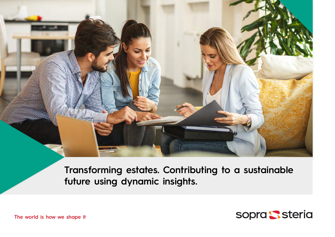

**Transforming estates. Contributing to a sustainable future using dynamic insights.**



**The world is how we shape it**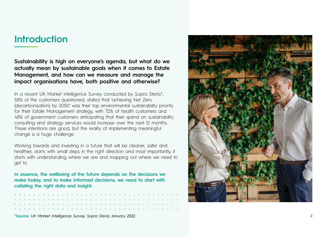### **Introduction**

**Sustainability is high on everyone's agenda, but what do we actually mean by sustainable goals when it comes to Estate Management, and how can we measure and manage the impact organisations have, both positive and otherwise?**

In a recent UK Market Intelligence Survey conducted by Sopra Steria\*, 58% of the customers questioned, stated that 'achieving Net Zero (decarbonisation) by 2050' was their top environmental sustainability priority for their Estate Management strategy, with 72% of health customers and 48% of government customers anticipating that their spend on sustainability consulting and strategy services would increase over the next 12 months. These intentions are good, but the reality of implementing meaningful change is a huge challenge.

Working towards and investing in a future that will be cleaner, safer and healthier, starts with small steps in the right direction and most importantly, it starts with understanding where we are and mapping out where we need to get to.

**In essence, the wellbeing of the future depends on the decisions we make today, and to make informed decisions, we need to start with collating the right data and insight.**



*\*Source: UK Market Intelligence Survey, Sopra Steria, January 2022.*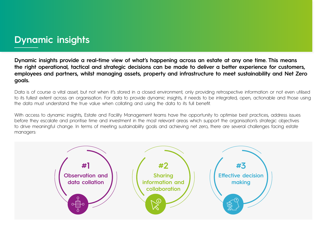### **Dynamic insights**

**Dynamic insights provide a real-time view of what's happening across an estate at any one time. This means the right operational, tactical and strategic decisions can be made to deliver a better experience for customers, employees and partners, whilst managing assets, property and infrastructure to meet sustainability and Net Zero goals.**

Data is of course a vital asset, but not when it's stored in a closed environment, only providing retrospective information or not even utilised to its fullest extent across an organisation. For data to provide dynamic insights, it needs to be integrated, open, actionable and those using the data must understand the true value when collating and using the data to its full benefit.

With access to dynamic insights, Estate and Facility Management teams have the opportunity to optimise best practices, address issues before they escalate and prioritise time and investment in the most relevant areas which support the organisation's strategic objectives to drive meaningful change. In terms of meeting sustainability goals and achieving net zero, there are several challenges facing estate managers:

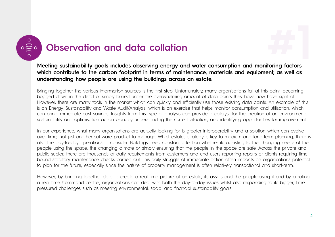



**Meeting sustainability goals includes observing energy and water consumption and monitoring factors which contribute to the carbon footprint in terms of maintenance, materials and equipment, as well as understanding how people are using the buildings across an estate.**

Bringing together the various information sources is the first step. Unfortunately, many organisations fail at this point, becoming bogged down in the detail or simply buried under the overwhelming amount of data points they have now have sight of. However, there are many tools in the market which can quickly and efficiently use those existing data points. An example of this is an Energy, Sustainability and Waste Audit/Analysis, which is an exercise that helps monitor consumption and utilisation, which can bring immediate cost savings. Insights from this type of analysis can provide a catalyst for the creation of an environmental sustainability and optimisation action plan, by understanding the current situation, and identifying opportunities for improvement.

In our experience, what many organisations are actually looking for is greater interoperability and a solution which can evolve over time, not just another software product to manage. Whilst estates strategy is key to medium and long-term planning, there is also the day-to-day operations to consider. Buildings need constant attention whether its adjusting to the changing needs of the people using the space, the changing climate or simply ensuring that the people in the space are safe. Across the private and public sector, there are thousands of daily requirements from customers and end users reporting repairs or clients requiring time bound statutory maintenance checks carried out. This daily struggle of immediate action often impacts an organisations potential to plan for the future, especially since the nature of property management is often relatively transactional and short-term.

However, by bringing together data to create a real time picture of an estate, its assets and the people using it and by creating a real time 'command centre', organisations can deal with both the day-to-day issues whilst also responding to its bigger, time pressured challenges such as meeting environmental, social and financial sustainability goals.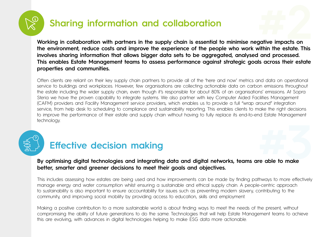

## **Sharing information and collaboration**

**Working in collaboration with partners in the supply chain is essential to minimise negative impacts on the environment, reduce costs and improve the experience of the people who work within the estate. This involves sharing information that allows bigger data sets to be aggregated, analysed and processed. This enables Estate Management teams to assess performance against strategic goals across their estate properties and communities. #2**<br>**#2**<br>#22<br>#22<br>#22<br>#22

Often clients are reliant on their key supply chain partners to provide all of the 'here and now' metrics and data on operational service to buildings and workplaces. However, few organisations are collecting actionable data on carbon emissions throughout the estate including the wider supply chain, even though it's responsible for about 80% of an organisations' emissions. At Sopra Steria we have the proven capability to integrate systems. We also partner with key Computer Aided Facilities Management (CAFM) providers and Facility Management service providers, which enables us to provide a full "wrap around" integration service, from help desk to scheduling to compliance and sustainability reporting. This enables clients to make the right decisions to improve the performance of their estate and supply chain without having to fully replace its end-to-end Estate Management technology.



# **By optimising digital technologies and integrating data and digital networks, teams are able to make better, smarter and greener decisions to meet their goals and objectives. #3**

This includes assessing how estates are being used and how improvements can be made by finding pathways to more effectively manage energy and water consumption whilst ensuring a sustainable and ethical supply chain. A people-centric approach to sustainability is also important to ensure accountability for issues such as preventing modern slavery, contributing to the community, and improving social mobility by providing access to education, skills and employment.

Making a positive contribution to a more sustainable world is about finding ways to meet the needs of the present, without compromising the ability of future generations to do the same. Technologies that will help Estate Management teams to achieve this are evolving, with advances in digital technologies helping to make ESG data more actionable.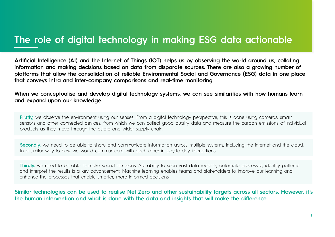### **The role of digital technology in making ESG data actionable**

**Artificial Intelligence (AI) and the Internet of Things (IOT) helps us by observing the world around us, collating information and making decisions based on data from disparate sources. There are also a growing number of platforms that allow the consolidation of reliable Environmental Social and Governance (ESG) data in one place that conveys intra and inter-company comparisons and real-time monitoring.**

**When we conceptualise and develop digital technology systems, we can see similarities with how humans learn and expand upon our knowledge.**

**Firstly,** we observe the environment using our senses. From a digital technology perspective, this is done using cameras, smart sensors and other connected devices, from which we can collect good quality data and measure the carbon emissions of individual products as they move through the estate and wider supply chain.

**Secondly,** we need to be able to share and communicate information across multiple systems, including the internet and the cloud. In a similar way to how we would communicate with each other in day-to-day interactions.

Thirdly, we need to be able to make sound decisions. Al's ability to scan vast data records, automate processes, identify patterns and interpret the results is a key advancement. Machine learning enables teams and stakeholders to improve our learning and enhance the processes that enable smarter, more informed decisions.

**Similar technologies can be used to realise Net Zero and other sustainability targets across all sectors. However, it's the human intervention and what is done with the data and insights that will make the difference.**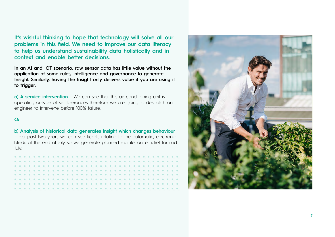**It's wishful thinking to hope that technology will solve all our problems in this field. We need to improve our data literacy to help us understand sustainability data holistically and in context and enable better decisions.**

**In an AI and IOT scenario, raw sensor data has little value without the application of some rules, intelligence and governance to generate Insight. Similarly, having the Insight only delivers value if you are using it to trigger:**

**a) A service intervention -** We can see that this air conditioning unit is operating outside of set tolerances therefore we are going to despatch an engineer to intervene before 100% failure.

### *Or*

#### **b) Analysis of historical data generates Insight which changes behaviour**

**–** e.g. past two years we can see tickets relating to the automatic, electronic blinds at the end of July so we generate planned maintenance ticket for mid July.

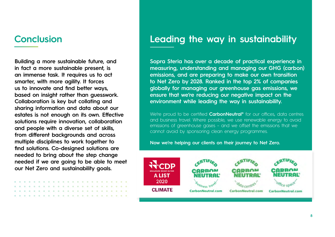**Building a more sustainable future, and in fact a more sustainable present, is an immense task. It requires us to act smarter, with more agility. It forces us to innovate and find better ways, based on insight rather than guesswork. Collaboration is key but collating and sharing information and data about our estates is not enough on its own. Effective solutions require innovation, collaboration and people with a diverse set of skills, from different backgrounds and across multiple disciplines to work together to find solutions. Co-designed solutions are needed to bring about the step change needed if we are going to be able to meet our Net Zero and sustainability goals.**

### **Conclusion Leading the way in sustainability**

**Sopra Steria has over a decade of practical experience in measuring, understanding and managing our GHG (carbon) emissions, and are preparing to make our own transition to Net Zero by 2028. Ranked in the top 2% of companies globally for managing our greenhouse gas emissions, we ensure that we're reducing our negative impact on the environment while leading the way in sustainability.**

We're proud to be certified **CarbonNeutral®** for our offices, data centres and business travel. Where possible, we use renewable energy to avoid emissions of greenhouse gases – and we offset the emissions that we cannot avoid by sponsoring clean energy programmes.

**Now we're helping our clients on their journey to Net Zero.**

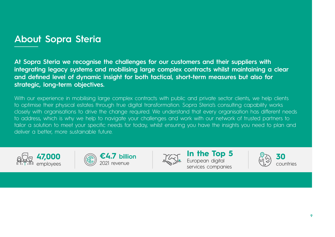### **About Sopra Steria**

**At Sopra Steria we recognise the challenges for our customers and their suppliers with integrating legacy systems and mobilising large complex contracts whilst maintaining a clear and defined level of dynamic insight for both tactical, short-term measures but also for strategic, long-term objectives.**

With our experience in mobilising large complex contracts with public and private sector clients, we help clients to optimise their physical estates through true digital transformation. Sopra Steria's consulting capability works closely with organisations to drive the change required. We understand that every organisation has different needs to address, which is why we help to navigate your challenges and work with our network of trusted partners to tailor a solution to meet your specific needs for today, whilst ensuring you have the insights you need to plan and deliver a better, more sustainable future.







**In the Top 5** European digital services companies